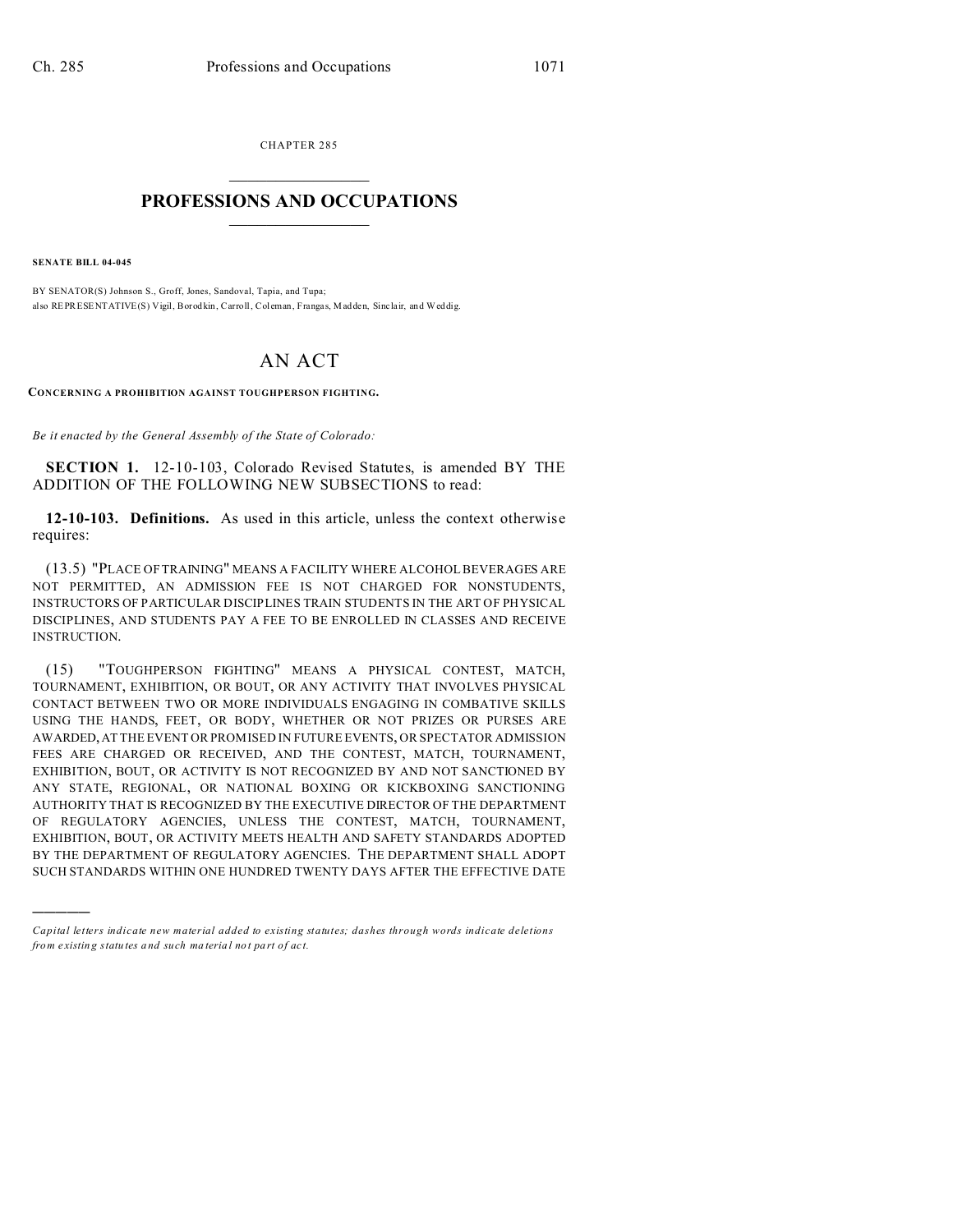CHAPTER 285  $\overline{\phantom{a}}$  , where  $\overline{\phantom{a}}$ 

## **PROFESSIONS AND OCCUPATIONS**  $\frac{1}{2}$  ,  $\frac{1}{2}$  ,  $\frac{1}{2}$  ,  $\frac{1}{2}$  ,  $\frac{1}{2}$  ,  $\frac{1}{2}$  ,  $\frac{1}{2}$

**SENATE BILL 04-045**

)))))

BY SENATOR(S) Johnson S., Groff, Jones, Sandoval, Tapia, and Tupa; also REPRESENTATIVE(S) Vigil, Borod kin, Carroll, Col eman, Franga s, M adden, Sinc lair, and Weddig.

## AN ACT

**CONCERNING A PROHIBITION AGAINST TOUGHPERSON FIGHTING.**

*Be it enacted by the General Assembly of the State of Colorado:*

**SECTION 1.** 12-10-103, Colorado Revised Statutes, is amended BY THE ADDITION OF THE FOLLOWING NEW SUBSECTIONS to read:

**12-10-103. Definitions.** As used in this article, unless the context otherwise requires:

(13.5) "PLACE OF TRAINING" MEANS A FACILITY WHERE ALCOHOL BEVERAGES ARE NOT PERMITTED, AN ADMISSION FEE IS NOT CHARGED FOR NONSTUDENTS, INSTRUCTORS OF PARTICULAR DISCIPLINES TRAIN STUDENTS IN THE ART OF PHYSICAL DISCIPLINES, AND STUDENTS PAY A FEE TO BE ENROLLED IN CLASSES AND RECEIVE INSTRUCTION.

(15) "TOUGHPERSON FIGHTING" MEANS A PHYSICAL CONTEST, MATCH, TOURNAMENT, EXHIBITION, OR BOUT, OR ANY ACTIVITY THAT INVOLVES PHYSICAL CONTACT BETWEEN TWO OR MORE INDIVIDUALS ENGAGING IN COMBATIVE SKILLS USING THE HANDS, FEET, OR BODY, WHETHER OR NOT PRIZES OR PURSES ARE AWARDED,AT THE EVENT OR PROMISED IN FUTURE EVENTS, OR SPECTATOR ADMISSION FEES ARE CHARGED OR RECEIVED, AND THE CONTEST, MATCH, TOURNAMENT, EXHIBITION, BOUT, OR ACTIVITY IS NOT RECOGNIZED BY AND NOT SANCTIONED BY ANY STATE, REGIONAL, OR NATIONAL BOXING OR KICKBOXING SANCTIONING AUTHORITY THAT IS RECOGNIZED BY THE EXECUTIVE DIRECTOR OF THE DEPARTMENT OF REGULATORY AGENCIES, UNLESS THE CONTEST, MATCH, TOURNAMENT, EXHIBITION, BOUT, OR ACTIVITY MEETS HEALTH AND SAFETY STANDARDS ADOPTED BY THE DEPARTMENT OF REGULATORY AGENCIES. THE DEPARTMENT SHALL ADOPT SUCH STANDARDS WITHIN ONE HUNDRED TWENTY DAYS AFTER THE EFFECTIVE DATE

*Capital letters indicate new material added to existing statutes; dashes through words indicate deletions from e xistin g statu tes a nd such ma teria l no t pa rt of ac t.*